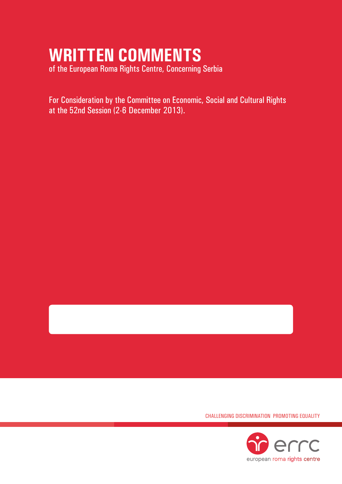# **WRITTEN COMMENTS**

of the European Roma Rights Centre, Concerning Serbia

For Consideration by the Committee on Economic, Social and Cultural Rights at the 52nd Session (2-6 December 2013).

Challenging Discrimination Promoting Equality

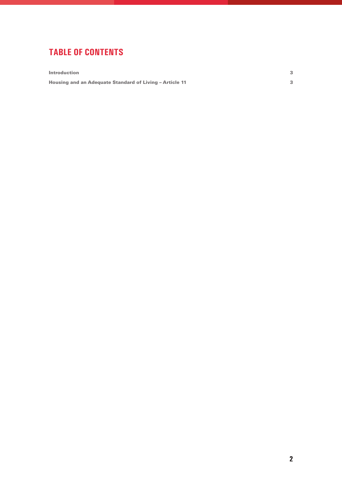## **tablE of contents**

**Introduction** 3

Housing and an Adequate Standard of Living – Article 11 3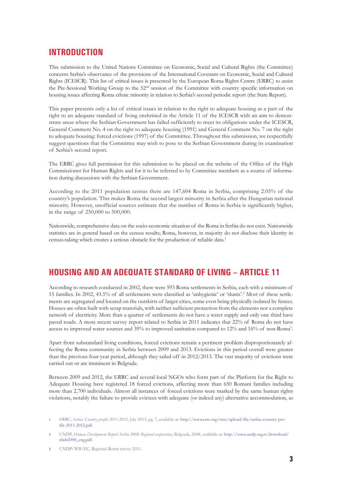#### **INTRODUCTION**

This submission to the United Nations Committee on Economic, Social and Cultural Rights (the Committee) concerns Serbia's observance of the provisions of the International Covenant on Economic, Social and Cultural Rights (ICESCR). This list of critical issues is presented by the European Roma Rights Centre (ERRC) to assist the Pre-Sessional Working Group to the 52nd session of the Committee with country specific information on housing issues affecting Roma ethnic minority in relation to Serbia's second periodic report (the State Report).

This paper presents only a list of critical issues in relation to the right to adequate housing as a part of the right to an adequate standard of living enshrined in the Article 11 of the ICESCR with an aim to demonstrate areas where the Serbian Government has failed sufficiently to meet its obligations under the ICESCR, General Comment No. 4 on the right to adequate housing (1991) and General Comment No. 7 on the right to adequate housing: forced evictions (1997) of the Committee. Throughout this submission, we respectfully suggest questions that the Committee may wish to pose to the Serbian Government during its examination of Serbia's second report.

The ERRC gives full permission for this submission to be placed on the website of the Office of the High Commissioner for Human Rights and for it to be referred to by Committee members as a source of information during discussions with the Serbian Government.

According to the 2011 population census there are 147,604 Roma in Serbia, comprising 2.05% of the country's population. This makes Roma the second largest minority in Serbia after the Hungarian national minority. However, unofficial sources estimate that the number of Roma in Serbia is significantly higher, in the range of 250,000 to 500,000.

Nationwide, comprehensive data on the socio-economic situation of the Roma in Serbia do not exist. Nationwide statistics are in general based on the census results; Roma, however, in majority do not disclose their identity in census-taking which creates a serious obstacle for the production of reliable data.1

### **Housing and an Adequate Standard of Living – Article 11**

According to research conducted in 2002, there were 593 Roma settlements in Serbia, each with a minimum of 15 families. In 2002, 43.5% of all settlements were classified as 'unhygienic' or 'slums'.2 Most of these settlements are segregated and located on the outskirts of larger cities, some even being physically isolated by fences. Houses are often built with scrap materials, with neither sufficient protection from the elements nor a complete network of electricity. More than a quarter of settlements do not have a water supply and only one third have paved roads. A more recent survey report related to Serbia in 2011 indicates that 22% of Roma do not have access to improved water sources and 39% to improved sanitation compared to 12% and 16% of non-Roma3 .

Apart from substandard living conditions, forced evictions remain a pertinent problem disproportionately affecting the Roma community in Serbia between 2009 and 2013. Evictions in this period overall were greater than the previous four-year period, although they tailed off in 2012/2013. The vast majority of evictions were carried out or are imminent in Belgrade.

Between 2009 and 2012, the ERRC and several local NGOs who form part of the Platform for the Right to Adequate Housing have registered 18 forced evictions, affecting more than 650 Romani families including more than 2,700 individuals. Almost all instances of forced evictions were marked by the same human rights violations, notably the failure to provide evictees with adequate (or indeed any) alternative accommodation, as

**3** UNDP/WB/EC, Regional Roma survey 2011.

**<sup>1</sup>** ERRC, *Serbia: Country profile 2011-2012*, July 2013, pg. 7, available at: http://www.errc.org/cms/upload/file/serbia-country-profile-2011-2012.pdf.

**<sup>2</sup>** UNDP, *Human Development Report Serbia 2008: Regional cooperation*, Belgrade, 2008, available at: http://www.undp.org.rs/download/ nhdr2008\_eng.pdf.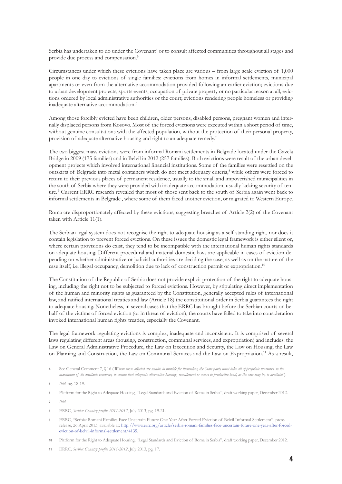Serbia has undertaken to do under the Covenant<sup>4</sup> or to consult affected communities throughout all stages and provide due process and compensation.<sup>5</sup>

Circumstances under which these evictions have taken place are various – from large scale eviction of 1,000 people in one day to evictions of single families; evictions from homes in informal settlements, municipal apartments or even from the alternative accommodation provided following an earlier eviction; evictions due to urban development projects, sports events, occupation of private property or no particular reason at all; evictions ordered by local administrative authorities or the court; evictions rendering people homeless or providing inadequate alternative accommodation.<sup>6</sup>

Among those forcibly evicted have been children, older persons, disabled persons, pregnant women and internally displaced persons from Kosovo. Most of the forced evictions were executed within a short period of time, without genuine consultations with the affected population, without the protection of their personal property, provision of adequate alternative housing and right to an adequate remedy.<sup>7</sup>

The two biggest mass evictions were from informal Romani settlements in Belgrade located under the Gazela Bridge in 2009 (175 families) and in Belvil in 2012 (257 families). Both evictions were result of the urban development projects which involved international financial institutions. Some of the families were resettled on the outskirts of Belgrade into metal containers which do not meet adequacy criteria,<sup>8</sup> while others were forced to return to their previous places of permanent residence, usually to the small and impoverished municipalities in the south of Serbia where they were provided with inadequate accommodation, usually lacking security of tenure.<sup>9</sup> Current ERRC research revealed that most of those sent back to the south of Serbia again went back to informal settlements in Belgrade , where some of them faced another eviction, or migrated to Western Europe.

Roma are disproportionately affected by these evictions, suggesting breaches of Article 2(2) of the Covenant taken with Article 11(1).

The Serbian legal system does not recognise the right to adequate housing as a self-standing right, nor does it contain legislation to prevent forced evictions. On these issues the domestic legal framework is either silent or, where certain provisions do exist, they tend to be incompatible with the international human rights standards on adequate housing. Different procedural and material domestic laws are applicable in cases of eviction depending on whether administrative or judicial authorities are deciding the case, as well as on the nature of the case itself, i.e. illegal occupancy, demolition due to lack of construction permit or expropriation.10

The Constitution of the Republic of Serbia does not provide explicit protection of the right to adequate housing, including the right not to be subjected to forced evictions. However, by stipulating direct implementation of the human and minority rights as guaranteed by the Constitution, generally accepted rules of international law, and ratified international treaties and law (Article 18) the constitutional order in Serbia guarantees the right to adequate housing. Nonetheless, in several cases that the ERRC has brought before the Serbian courts on behalf of the victims of forced eviction (or in threat of eviction), the courts have failed to take into consideration invoked international human rights treaties, especially the Covenant.

The legal framework regulating evictions is complex, inadequate and inconsistent. It is comprised of several laws regulating different areas (housing, construction, communal services, and expropriation) and includes: the Law on General Administrative Procedure, the Law on Execution and Security, the Law on Housing, the Law on Planning and Construction, the Law on Communal Services and the Law on Expropriation.11 As a result,

**4** See General Comment 7, § 16 ('*Where those affected are unable to provide for themselves, the State party must take all appropriate measures, to the maximum of its available resources, to ensure that adequate alternative housing, resettlement or access to productive land, as the case may be, is available*').

**6** Platform for the Right to Adequate Housing, "Legal Standards and Eviction of Roma in Serbia", draft working paper, December 2012.

- **8** ERRC, *Serbia: Country profile 2011-2012*, July 2013, pg. 19-21.
- **9** ERRC, "Serbia: Romani Families Face Uncertain Future One Year After Forced Eviction of Belvil Informal Settlement", press release, 26 April 2013, available at: http://www.errc.org/article/serbia-romani-families-face-uncertain-future-one-year-after-forcedeviction-of-belvil-informal-settlement/4135.
- **10** Platform for the Right to Adequate Housing, "Legal Standards and Eviction of Roma in Serbia", draft working paper, December 2012.
- **11** ERRC, *Serbia: Country profile 2011-2012*, July 2013, pg. 17.

**<sup>5</sup>** *Ibid.* pg. 18-19.

**<sup>7</sup>** *Ibid.*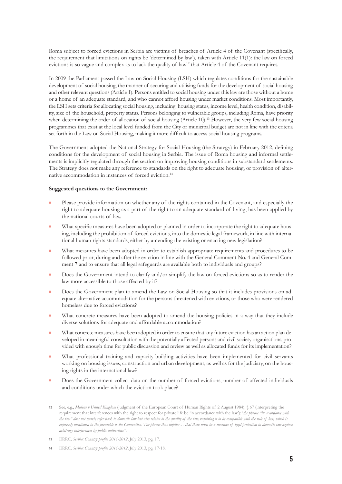Roma subject to forced evictions in Serbia are victims of breaches of Article 4 of the Covenant (specifically, the requirement that limitations on rights be 'determined by law'), taken with Article 11(1): the law on forced evictions is so vague and complex as to lack the quality of law<sup>12</sup> that Article 4 of the Covenant requires.

In 2009 the Parliament passed the Law on Social Housing (LSH) which regulates conditions for the sustainable development of social housing, the manner of securing and utilising funds for the development of social housing and other relevant questions (Article 1). Persons entitled to social housing under this law are those without a home or a home of an adequate standard, and who cannot afford housing under market conditions. Most importantly, the LSH sets criteria for allocating social housing, including: housing status, income level, health condition, disability, size of the household, property status. Persons belonging to vulnerable groups, including Roma, have priority when determining the order of allocation of social housing (Article 10).<sup>13</sup> However, the very few social housing programmes that exist at the local level funded from the City or municipal budget are not in line with the criteria set forth in the Law on Social Housing, making it more difficult to access social housing programs.

The Government adopted the National Strategy for Social Housing (the Strategy) in February 2012, defining conditions for the development of social housing in Serbia. The issue of Roma housing and informal settlements is implicitly regulated through the section on improving housing conditions in substandard settlements. The Strategy does not make any reference to standards on the right to adequate housing, or provision of alternative accommodation in instances of forced eviction.<sup>14</sup>

#### **Suggested questions to the Government:**

- Please provide information on whether any of the rights contained in the Covenant, and especially the right to adequate housing as a part of the right to an adequate standard of living, has been applied by the national courts of law.
- What specific measures have been adopted or planned in order to incorporate the right to adequate housing, including the prohibition of forced evictions, into the domestic legal framework, in line with international human rights standards, either by amending the existing or enacting new legislation?
- What measures have been adopted in order to establish appropriate requirements and procedures to be followed prior, during and after the eviction in line with the General Comment No. 4 and General Comment 7 and to ensure that all legal safeguards are available both to individuals and groups?
- Does the Government intend to clarify and/or simplify the law on forced evictions so as to render the law more accessible to those affected by it?
- Does the Government plan to amend the Law on Social Housing so that it includes provisions on adequate alternative accommodation for the persons threatened with evictions, or those who were rendered homeless due to forced evictions?
- What concrete measures have been adopted to amend the housing policies in a way that they include diverse solutions for adequate and affordable accommodation?
- What concrete measures have been adopted in order to ensure that any future eviction has an action plan developed in meaningful consultation with the potentially affected persons and civil society organisations, provided with enough time for public discussion and review as well as allocated funds for its implementation?
- **What professional training and capacity-building activities have been implemented for civil servants** working on housing issues, construction and urban development, as well as for the judiciary, on the housing rights in the international law?
- Does the Government collect data on the number of forced evictions, number of affected individuals and conditions under which the eviction took place?

- **13** ERRC, *Serbia: Country profile 2011-2012*, July 2013, pg. 17.
- **14** ERRC, *Serbia: Country profile 2011-2012*, July 2013, pg. 17-18.

**<sup>12</sup>** See, e.g., *Malone v United Kingdom* (judgment of the European Court of Human Rights of 2 August 1984), § 67 (interpreting the requirement that interferences with the right to respect for private life be 'in accordance with the law'): '*the phrase "in accordance with the law" does not merely refer back to domestic law but also relates to the quality of the law, requiring it to be compatible with the rule of law, which is*  expressly mentioned in the preamble to the Convention. The phrase thus implies... that there must be a measure of legal protection in domestic law against *arbitrary interferences by public authorities*".